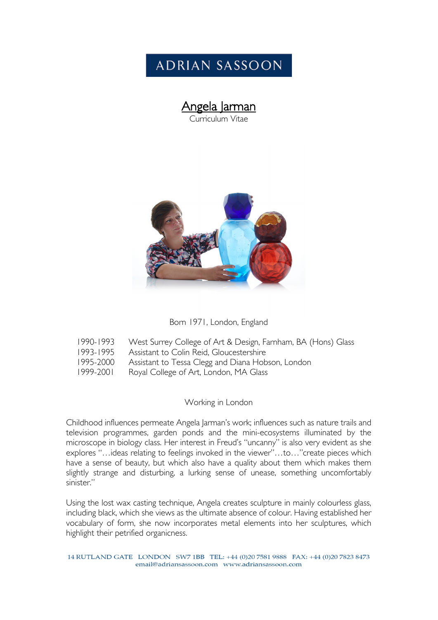# **ADRIAN SASSOON**

# **Angela Jarman**<br>Curriculum Vitae



#### Born 1971, London, England

|  | 1990-1993    VVest Surrey College of Art & Design, Farnham, BA (Hons) Glass |  |  |  |  |  |
|--|-----------------------------------------------------------------------------|--|--|--|--|--|
|--|-----------------------------------------------------------------------------|--|--|--|--|--|

- 1993-1995 Assistant to Colin Reid, Gloucestershire
- 1995-2000 Assistant to Tessa Clegg and Diana Hobson, London
- 1999-2001 Royal College of Art, London, MA Glass

#### Working in London

Childhood influences permeate Angela Jarman's work; influences such as nature trails and television programmes, garden ponds and the mini-ecosystems illuminated by the microscope in biology class. Her interest in Freud's "uncanny" is also very evident as she explores "…ideas relating to feelings invoked in the viewer"…to…"create pieces which have a sense of beauty, but which also have a quality about them which makes them slightly strange and disturbing, a lurking sense of unease, something uncomfortably sinister."

Using the lost wax casting technique, Angela creates sculpture in mainly colourless glass, including black, which she views as the ultimate absence of colour. Having established her vocabulary of form, she now incorporates metal elements into her sculptures, which highlight their petrified organicness.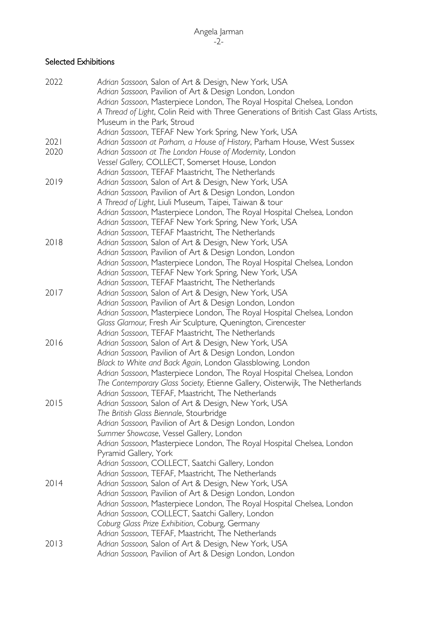## Selected Exhibitions

| 2022 | Adrian Sassoon, Salon of Art & Design, New York, USA                                |
|------|-------------------------------------------------------------------------------------|
|      | Adrian Sassoon, Pavilion of Art & Design London, London                             |
|      | Adrian Sassoon, Masterpiece London, The Royal Hospital Chelsea, London              |
|      | A Thread of Light, Colin Reid with Three Generations of British Cast Glass Artists, |
|      | Museum in the Park, Stroud                                                          |
|      | Adrian Sassoon, TEFAF New York Spring, New York, USA                                |
| 2021 | Adrian Sassoon at Parham, a House of History, Parham House, West Sussex             |
| 2020 | Adrian Sassoon at The London House of Modernity, London                             |
|      | Vessel Gallery, COLLECT, Somerset House, London                                     |
|      | Adrian Sassoon, TEFAF Maastricht, The Netherlands                                   |
| 2019 | Adrian Sassoon, Salon of Art & Design, New York, USA                                |
|      | Adrian Sassoon, Pavilion of Art & Design London, London                             |
|      | A Thread of Light, Liuli Museum, Taipei, Taiwan & tour                              |
|      | Adrian Sassoon, Masterpiece London, The Royal Hospital Chelsea, London              |
|      | Adrian Sassoon, TEFAF New York Spring, New York, USA                                |
|      | Adrian Sassoon, TEFAF Maastricht, The Netherlands                                   |
| 2018 | Adrian Sassoon, Salon of Art & Design, New York, USA                                |
|      | Adrian Sassoon, Pavilion of Art & Design London, London                             |
|      | Adrian Sassoon, Masterpiece London, The Royal Hospital Chelsea, London              |
|      | Adrian Sassoon, TEFAF New York Spring, New York, USA                                |
|      | Adrian Sassoon, TEFAF Maastricht, The Netherlands                                   |
| 2017 | Adrian Sassoon, Salon of Art & Design, New York, USA                                |
|      | Adrian Sassoon, Pavilion of Art & Design London, London                             |
|      | Adrian Sassoon, Masterpiece London, The Royal Hospital Chelsea, London              |
|      | Glass Glamour, Fresh Air Sculpture, Quenington, Cirencester                         |
|      | Adrian Sassoon, TEFAF Maastricht, The Netherlands                                   |
| 2016 | Adrian Sassoon, Salon of Art & Design, New York, USA                                |
|      | Adrian Sassoon, Pavilion of Art & Design London, London                             |
|      | Black to White and Back Again, London Glassblowing, London                          |
|      | Adrian Sassoon, Masterpiece London, The Royal Hospital Chelsea, London              |
|      | The Contemporary Glass Society, Etienne Gallery, Oisterwijk, The Netherlands        |
|      | Adrian Sassoon, TEFAF, Maastricht, The Netherlands                                  |
| 2015 | Adrian Sassoon, Salon of Art & Design, New York, USA                                |
|      | The British Glass Biennale, Stourbridge                                             |
|      | Adrian Sassoon, Pavilion of Art & Design London, London                             |
|      | Summer Showcase, Vessel Gallery, London                                             |
|      | Adrian Sassoon, Masterpiece London, The Royal Hospital Chelsea, London              |
|      | Pyramid Gallery, York                                                               |
|      | Adrian Sassoon, COLLECT, Saatchi Gallery, London                                    |
|      | Adrian Sassoon, TEFAF, Maastricht, The Netherlands                                  |
| 2014 | Adrian Sassoon, Salon of Art & Design, New York, USA                                |
|      | Adrian Sassoon, Pavilion of Art & Design London, London                             |
|      | Adrian Sassoon, Masterpiece London, The Royal Hospital Chelsea, London              |
|      | Adrian Sassoon, COLLECT, Saatchi Gallery, London                                    |
|      | Coburg Glass Prize Exhibition, Coburg, Germany                                      |
|      | Adrian Sassoon, TEFAF, Maastricht, The Netherlands                                  |
| 2013 | Adrian Sassoon, Salon of Art & Design, New York, USA                                |
|      | Adrian Sassoon, Pavilion of Art & Design London, London                             |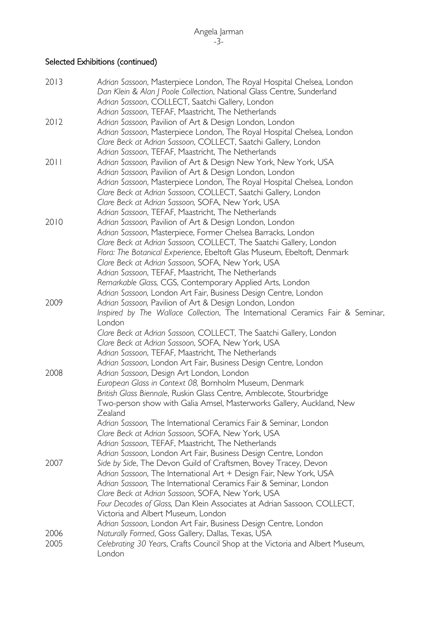#### Selected Exhibitions (continued)

| 2013 | Adrian Sassoon, Masterpiece London, The Royal Hospital Chelsea, London<br>Dan Klein & Alan J Poole Collection, National Glass Centre, Sunderland |
|------|--------------------------------------------------------------------------------------------------------------------------------------------------|
|      | Adrian Sassoon, COLLECT, Saatchi Gallery, London                                                                                                 |
| 2012 | Adrian Sassoon, TEFAF, Maastricht, The Netherlands                                                                                               |
|      | Adrian Sassoon, Pavilion of Art & Design London, London<br>Adrian Sassoon, Masterpiece London, The Royal Hospital Chelsea, London                |
|      | Clare Beck at Adrian Sassoon, COLLECT, Saatchi Gallery, London                                                                                   |
|      | Adrian Sassoon, TEFAF, Maastricht, The Netherlands                                                                                               |
| 2011 | Adrian Sassoon, Pavilion of Art & Design New York, New York, USA                                                                                 |
|      | Adrian Sassoon, Pavilion of Art & Design London, London                                                                                          |
|      | Adrian Sassoon, Masterpiece London, The Royal Hospital Chelsea, London                                                                           |
|      | Clare Beck at Adrian Sassoon, COLLECT, Saatchi Gallery, London                                                                                   |
|      | Clare Beck at Adrian Sassoon, SOFA, New York, USA                                                                                                |
|      | Adrian Sassoon, TEFAF, Maastricht, The Netherlands                                                                                               |
| 2010 | Adrian Sassoon, Pavilion of Art & Design London, London                                                                                          |
|      | Adrian Sassoon, Masterpiece, Former Chelsea Barracks, London                                                                                     |
|      | Clare Beck at Adrian Sassoon, COLLECT, The Saatchi Gallery, London                                                                               |
|      | Flora: The Botanical Experience, Ebeltoft Glas Museum, Ebeltoft, Denmark                                                                         |
|      | Clare Beck at Adrian Sassoon, SOFA, New York, USA                                                                                                |
|      | Adrian Sassoon, TEFAF, Maastricht, The Netherlands                                                                                               |
|      | Remarkable Glass, CGS, Contemporary Applied Arts, London                                                                                         |
| 2009 | Adrian Sassoon, London Art Fair, Business Design Centre, London                                                                                  |
|      | Adrian Sassoon, Pavilion of Art & Design London, London<br>Inspired by The Wallace Collection, The International Ceramics Fair & Seminar,        |
|      | London                                                                                                                                           |
|      | Clare Beck at Adrian Sassoon, COLLECT, The Saatchi Gallery, London                                                                               |
|      | Clare Beck at Adrian Sassoon, SOFA, New York, USA                                                                                                |
|      | Adrian Sassoon, TEFAF, Maastricht, The Netherlands                                                                                               |
|      | Adrian Sassoon, London Art Fair, Business Design Centre, London                                                                                  |
| 2008 | Adrian Sassoon, Design Art London, London                                                                                                        |
|      | European Glass in Context 08, Bornholm Museum, Denmark                                                                                           |
|      | British Glass Biennale, Ruskin Glass Centre, Amblecote, Stourbridge                                                                              |
|      | Two-person show with Galia Amsel, Masterworks Gallery, Auckland, New                                                                             |
|      | Zealand                                                                                                                                          |
|      | Adrian Sassoon, The International Ceramics Fair & Seminar, London                                                                                |
|      | Clare Beck at Adrian Sassoon, SOFA, New York, USA                                                                                                |
|      | Adrian Sassoon, TEFAF, Maastricht, The Netherlands                                                                                               |
|      | Adrian Sassoon, London Art Fair, Business Design Centre, London                                                                                  |
| 2007 | Side by Side, The Devon Guild of Craftsmen, Bovey Tracey, Devon<br>Adrian Sassoon, The International Art + Design Fair, New York, USA            |
|      | Adrian Sassoon, The International Ceramics Fair & Seminar, London                                                                                |
|      | Clare Beck at Adrian Sassoon, SOFA, New York, USA                                                                                                |
|      | Four Decades of Glass, Dan Klein Associates at Adrian Sassoon, COLLECT,                                                                          |
|      | Victoria and Albert Museum, London                                                                                                               |
|      | Adrian Sassoon, London Art Fair, Business Design Centre, London                                                                                  |
| 2006 | Naturally Formed, Goss Gallery, Dallas, Texas, USA                                                                                               |
| 2005 | Celebrating 30 Years, Crafts Council Shop at the Victoria and Albert Museum,                                                                     |
|      | London                                                                                                                                           |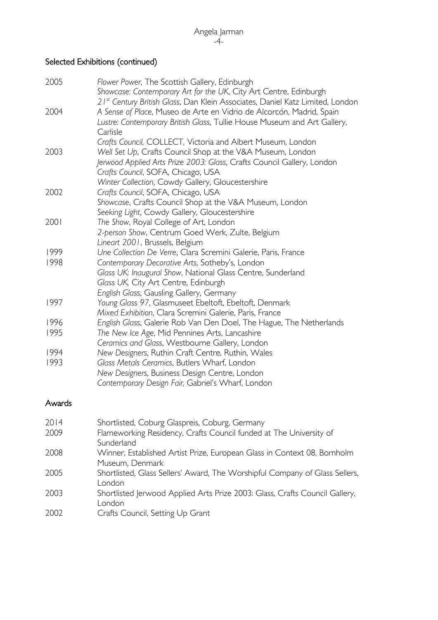#### Selected Exhibitions (continued)

| 2005 | Flower Power, The Scottish Gallery, Edinburgh                                                                                                                  |
|------|----------------------------------------------------------------------------------------------------------------------------------------------------------------|
|      | Showcase: Contemporary Art for the UK, City Art Centre, Edinburgh<br>21 <sup>st</sup> Century British Glass, Dan Klein Associates, Daniel Katz Limited, London |
| 2004 | A Sense of Place, Museo de Arte en Vidrio de Alcorcón, Madrid, Spain                                                                                           |
|      | Lustre: Contemporary British Glass, Tullie House Museum and Art Gallery,                                                                                       |
|      | Carlisle                                                                                                                                                       |
|      | Crafts Council, COLLECT, Victoria and Albert Museum, London                                                                                                    |
| 2003 | Well Set Up, Crafts Council Shop at the V&A Museum, London                                                                                                     |
|      | Jerwood Applied Arts Prize 2003: Glass, Crafts Council Gallery, London                                                                                         |
|      | Crafts Council, SOFA, Chicago, USA                                                                                                                             |
|      | Winter Collection, Cowdy Gallery, Gloucestershire                                                                                                              |
| 2002 | Crafts Council, SOFA, Chicago, USA                                                                                                                             |
|      | Showcase, Crafts Council Shop at the V&A Museum, London                                                                                                        |
|      | Seeking Light, Cowdy Gallery, Gloucestershire                                                                                                                  |
| 2001 | The Show, Royal College of Art, London                                                                                                                         |
|      | 2-person Show, Centrum Goed Werk, Zulte, Belgium                                                                                                               |
|      | Lineart 2001, Brussels, Belgium                                                                                                                                |
| 1999 | Une Collection De Verre, Clara Scremini Galerie, Paris, France                                                                                                 |
| 1998 | Contemporary Decorative Arts, Sotheby's, London                                                                                                                |
|      | Glass UK: Inaugural Show, National Glass Centre, Sunderland                                                                                                    |
|      | Glass UK, City Art Centre, Edinburgh                                                                                                                           |
|      | English Glass, Gausling Gallery, Germany                                                                                                                       |
| 1997 | Young Glass 97, Glasmuseet Ebeltoft, Ebeltoft, Denmark                                                                                                         |
|      | Mixed Exhibition, Clara Scremini Galerie, Paris, France                                                                                                        |
| 1996 | English Glass, Galerie Rob Van Den Doel, The Hague, The Netherlands                                                                                            |
| 1995 | The New Ice Age, Mid Pennines Arts, Lancashire                                                                                                                 |
|      | Ceramics and Glass, Westbourne Gallery, London                                                                                                                 |
| 1994 | New Designers, Ruthin Craft Centre, Ruthin, Wales                                                                                                              |
| 1993 | Glass Metals Ceramics, Butlers Wharf, London                                                                                                                   |
|      | New Designers, Business Design Centre, London                                                                                                                  |
|      | Contemporary Design Fair, Gabriel's Wharf, London                                                                                                              |

### Awards

| 2014 | Shortlisted, Coburg Glaspreis, Coburg, Germany                              |
|------|-----------------------------------------------------------------------------|
| 2009 | Flameworking Residency, Crafts Council funded at The University of          |
|      | Sunderland                                                                  |
| 2008 | Winner, Established Artist Prize, European Glass in Context 08, Bornholm    |
|      | Museum, Denmark                                                             |
| 2005 | Shortlisted, Glass Sellers' Award, The Worshipful Company of Glass Sellers, |
|      | London                                                                      |
| 2003 | Shortlisted Jerwood Applied Arts Prize 2003: Glass, Crafts Council Gallery, |
|      | London                                                                      |
| 2002 | Crafts Council, Setting Up Grant                                            |
|      |                                                                             |